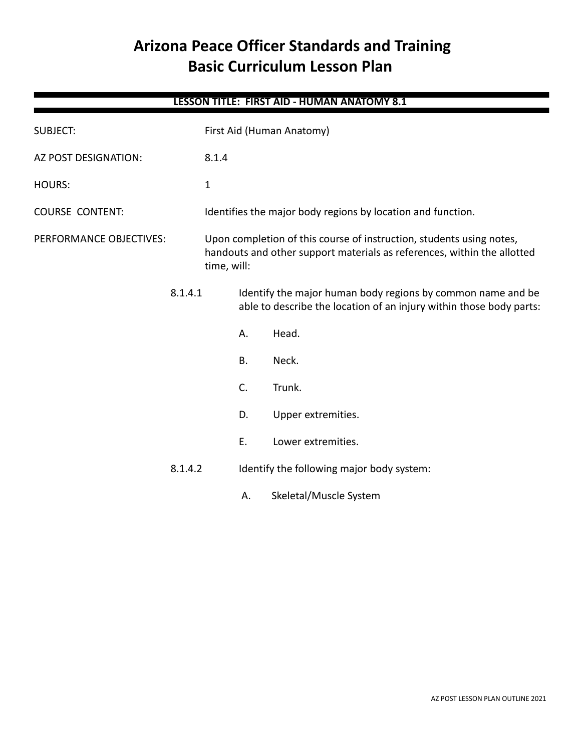# **Arizona Peace Officer Standards and Training Basic Curriculum Lesson Plan**

# **LESSON TITLE: FIRST AID - HUMAN ANATOMY 8.1**

| <b>SUBJECT:</b>         |         | First Aid (Human Anatomy)                                                                                                                                      |           |                                                                                                                                    |  |
|-------------------------|---------|----------------------------------------------------------------------------------------------------------------------------------------------------------------|-----------|------------------------------------------------------------------------------------------------------------------------------------|--|
| AZ POST DESIGNATION:    |         | 8.1.4                                                                                                                                                          |           |                                                                                                                                    |  |
| <b>HOURS:</b>           |         | $\mathbf{1}$                                                                                                                                                   |           |                                                                                                                                    |  |
| <b>COURSE CONTENT:</b>  |         | Identifies the major body regions by location and function.                                                                                                    |           |                                                                                                                                    |  |
| PERFORMANCE OBJECTIVES: |         | Upon completion of this course of instruction, students using notes,<br>handouts and other support materials as references, within the allotted<br>time, will: |           |                                                                                                                                    |  |
|                         | 8.1.4.1 |                                                                                                                                                                |           | Identify the major human body regions by common name and be<br>able to describe the location of an injury within those body parts: |  |
|                         |         |                                                                                                                                                                | А.        | Head.                                                                                                                              |  |
|                         |         |                                                                                                                                                                | <b>B.</b> | Neck.                                                                                                                              |  |
|                         |         |                                                                                                                                                                | C.        | Trunk.                                                                                                                             |  |
|                         |         |                                                                                                                                                                | D.        | Upper extremities.                                                                                                                 |  |
|                         |         |                                                                                                                                                                | Ε.        | Lower extremities.                                                                                                                 |  |
|                         | 8.1.4.2 | Identify the following major body system:                                                                                                                      |           |                                                                                                                                    |  |
|                         |         |                                                                                                                                                                | Α.        | Skeletal/Muscle System                                                                                                             |  |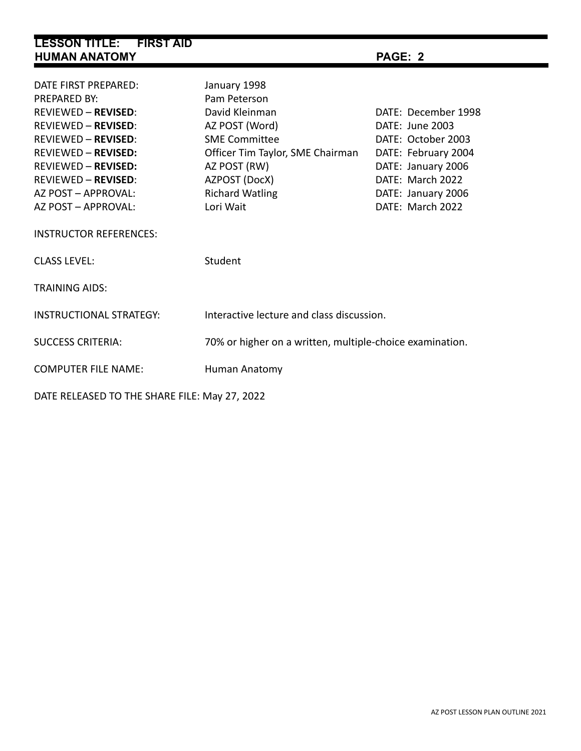| <b>LESSON TITLE: FIRST AID</b><br><b>HUMAN ANATOMY</b> |                                  | PAGE: 2             |  |  |  |  |  |  |  |
|--------------------------------------------------------|----------------------------------|---------------------|--|--|--|--|--|--|--|
|                                                        |                                  |                     |  |  |  |  |  |  |  |
| DATE FIRST PREPARED:                                   | January 1998                     |                     |  |  |  |  |  |  |  |
| PREPARED BY:                                           | Pam Peterson                     |                     |  |  |  |  |  |  |  |
| REVIEWED - REVISED:                                    | David Kleinman                   | DATF: December 1998 |  |  |  |  |  |  |  |
| <b>REVIEWED - REVISED:</b>                             | AZ POST (Word)                   | DATE: June 2003     |  |  |  |  |  |  |  |
| <b>REVIEWED – REVISED:</b>                             | <b>SME Committee</b>             | DATE: October 2003  |  |  |  |  |  |  |  |
| <b>REVIEWED - REVISED:</b>                             | Officer Tim Taylor, SME Chairman | DATE: February 2004 |  |  |  |  |  |  |  |
| REVIEWED - REVISED:                                    | AZ POST (RW)                     | DATE: January 2006  |  |  |  |  |  |  |  |
| <b>REVIEWED - REVISED:</b>                             | AZPOST (DocX)                    | DATE: March 2022    |  |  |  |  |  |  |  |
| AZ POST – APPROVAL:                                    | <b>Richard Watling</b>           | DATE: January 2006  |  |  |  |  |  |  |  |
| AZ POST – APPROVAL:                                    | Lori Wait                        | DATE: March 2022    |  |  |  |  |  |  |  |
| <b>INSTRUCTOR REFERENCES:</b>                          |                                  |                     |  |  |  |  |  |  |  |
| <b>CLASS LEVEL:</b>                                    | Student                          |                     |  |  |  |  |  |  |  |
| <b>TRAINING AIDS:</b>                                  |                                  |                     |  |  |  |  |  |  |  |

INSTRUCTIONAL STRATEGY: Interactive lecture and class discussion.

SUCCESS CRITERIA: 70% or higher on a written, multiple-choice examination.

COMPUTER FILE NAME: Human Anatomy

DATE RELEASED TO THE SHARE FILE: May 27, 2022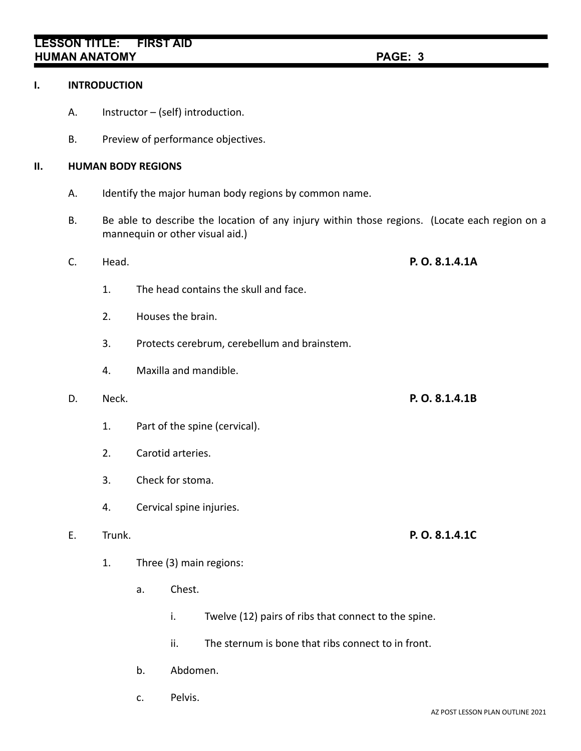## **LESSON TITLE: FIRST AID HUMAN ANATOMY PAGE: 3**

### **I. INTRODUCTION**

- A. Instructor (self) introduction.
- B. Preview of performance objectives.

### **II. HUMAN BODY REGIONS**

- A. Identify the major human body regions by common name.
- B. Be able to describe the location of any injury within those regions. (Locate each region on a mannequin or other visual aid.)
- 1. The head contains the skull and face. 2. Houses the brain. 3. Protects cerebrum, cerebellum and brainstem. 4. Maxilla and mandible. D. Neck. **P. O. 8.1.4.1B** 1. Part of the spine (cervical). 2. Carotid arteries. 3. Check for stoma.

C. Head. **P. O. 8.1.4.1A**

4. Cervical spine injuries.

- 1. Three (3) main regions:
	- a. Chest.
		- i. Twelve (12) pairs of ribs that connect to the spine.
		- ii. The sternum is bone that ribs connect to in front.
	- b. Abdomen.
	- c. Pelvis.

E. Trunk. **P. O. 8.1.4.1C**